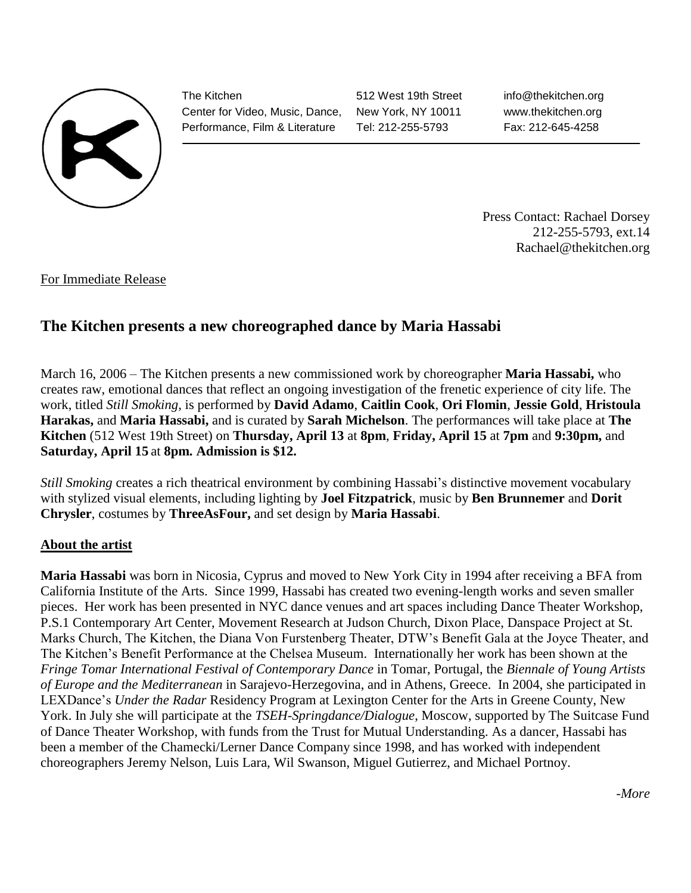

The Kitchen Center for Video, Music, Dance, Performance, Film & Literature

512 West 19th Street New York, NY 10011 Tel: 212-255-5793

info@thekitchen.org www.thekitchen.org Fax: 212-645-4258

Press Contact: Rachael Dorsey 212-255-5793, ext.14 Rachael@thekitchen.org

For Immediate Release

## **The Kitchen presents a new choreographed dance by Maria Hassabi**

March 16, 2006 – The Kitchen presents a new commissioned work by choreographer **Maria Hassabi,** who creates raw, emotional dances that reflect an ongoing investigation of the frenetic experience of city life. The work, titled *Still Smoking,* is performed by **David Adamo**, **Caitlin Cook**, **Ori Flomin**, **Jessie Gold**, **Hristoula Harakas,** and **Maria Hassabi,** and is curated by **Sarah Michelson**. The performances will take place at **The Kitchen** (512 West 19th Street) on **Thursday, April 13** at **8pm**, **Friday, April 15** at **7pm** and **9:30pm,** and **Saturday, April 15** at **8pm. Admission is \$12.**

*Still Smoking* creates a rich theatrical environment by combining Hassabi's distinctive movement vocabulary with stylized visual elements, including lighting by **Joel Fitzpatrick**, music by **Ben Brunnemer** and **Dorit Chrysler**, costumes by **ThreeAsFour,** and set design by **Maria Hassabi**.

## **About the artist**

**Maria Hassabi** was born in Nicosia, Cyprus and moved to New York City in 1994 after receiving a BFA from California Institute of the Arts. Since 1999, Hassabi has created two evening-length works and seven smaller pieces. Her work has been presented in NYC dance venues and art spaces including Dance Theater Workshop, P.S.1 Contemporary Art Center, Movement Research at Judson Church, Dixon Place, Danspace Project at St. Marks Church, The Kitchen, the Diana Von Furstenberg Theater, DTW's Benefit Gala at the Joyce Theater, and The Kitchen's Benefit Performance at the Chelsea Museum. Internationally her work has been shown at the *Fringe Tomar International Festival of Contemporary Dance* in Tomar, Portugal, the *Biennale of Young Artists of Europe and the Mediterranean* in Sarajevo-Herzegovina, and in Athens, Greece. In 2004, she participated in LEXDance's *Under the Radar* Residency Program at Lexington Center for the Arts in Greene County, New York. In July she will participate at the *TSEH-Springdance/Dialogue*, Moscow, supported by The Suitcase Fund of Dance Theater Workshop, with funds from the Trust for Mutual Understanding. As a dancer, Hassabi has been a member of the Chamecki/Lerner Dance Company since 1998, and has worked with independent choreographers Jeremy Nelson, Luis Lara, Wil Swanson, Miguel Gutierrez, and Michael Portnoy.